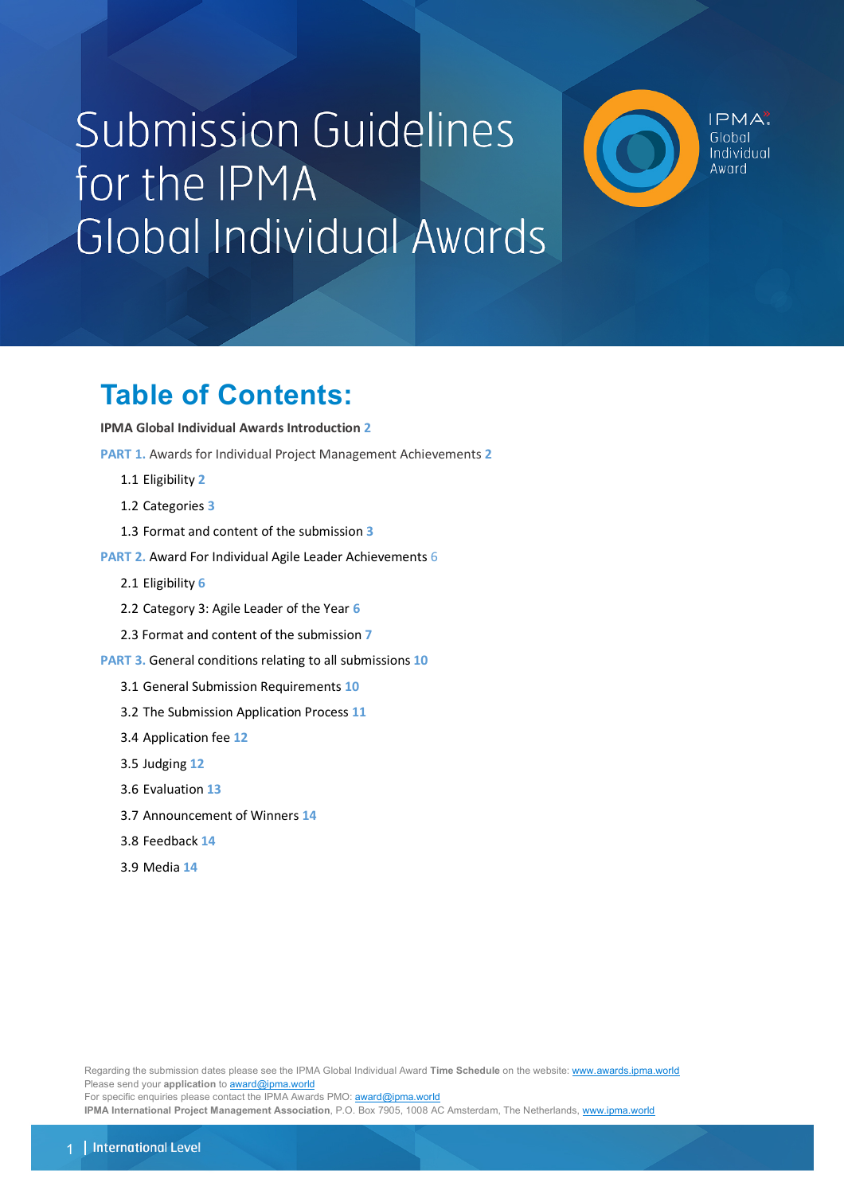# **Submission Guidelines** for the IPMA Global Individual Awards

 $IPMA$ Global Individual hinwA

## **Table of Contents:**

#### **IPMA Global Individual Awards Introduction 2**

**PART 1.** Awards for Individual Project Management Achievements **2**

- 1.1 Eligibility **2**
- 1.2 Categories **3**
- 1.3 Format and content of the submission **3**
- **PART 2.** Award For Individual Agile Leader Achievements 6
	- 2.1 Eligibility **6**
	- 2.2 Category 3: Agile Leader of the Year **6**
	- 2.3 Format and content of the submission **7**
- **PART 3.** General conditions relating to all submissions **10**
	- 3.1 General Submission Requirements **10**
	- 3.2 The Submission Application Process **11**
	- 3.4 Application fee **12**
	- 3.5 Judging **12**
	- 3.6 Evaluation **13**
	- 3.7 Announcement of Winners **14**
	- 3.8 Feedback **14**
	- 3.9 Media **14**

Regarding the submission dates please see the IPMA Global Individual Award **Time Schedule** on the website: www.awards.ipma.world Please send your *application* to **award@ipma.world** 

For specific enquiries please contact the IPMA Awards PMO: **award@ipma.world** 

**IPMA International Project Management Association**, P.O. Box 7905, 1008 AC Amsterdam, The Netherlands, www.ipma.world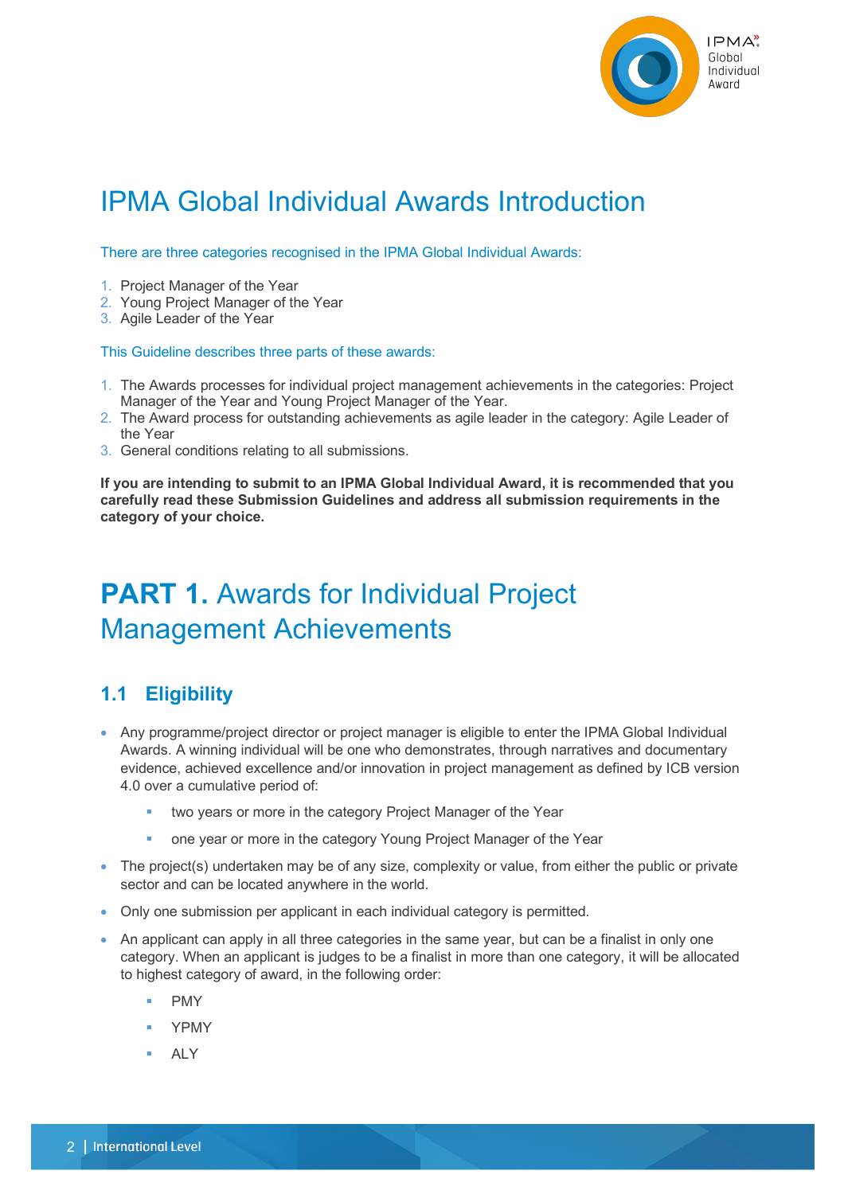

## IPMA Global Individual Awards Introduction

There are three categories recognised in the IPMA Global Individual Awards:

- 1. Project Manager of the Year
- 2. Young Project Manager of the Year
- 3. Agile Leader of the Year

This Guideline describes three parts of these awards:

- 1. The Awards processes for individual project management achievements in the categories: Project Manager of the Year and Young Project Manager of the Year.
- 2. The Award process for outstanding achievements as agile leader in the category: Agile Leader of the Year
- 3. General conditions relating to all submissions.

**If you are intending to submit to an IPMA Global Individual Award, it is recommended that you carefully read these Submission Guidelines and address all submission requirements in the category of your choice.**

## **PART 1.** Awards for Individual Project Management Achievements

## **1.1 Eligibility**

- Any programme/project director or project manager is eligible to enter the IPMA Global Individual Awards. A winning individual will be one who demonstrates, through narratives and documentary evidence, achieved excellence and/or innovation in project management as defined by ICB version 4.0 over a cumulative period of:
	- two years or more in the category Project Manager of the Year
	- one year or more in the category Young Project Manager of the Year
- The project(s) undertaken may be of any size, complexity or value, from either the public or private sector and can be located anywhere in the world.
- Only one submission per applicant in each individual category is permitted.
- An applicant can apply in all three categories in the same year, but can be a finalist in only one category. When an applicant is judges to be a finalist in more than one category, it will be allocated to highest category of award, in the following order:
	- § PMY
	- § YPMY
	- § ALY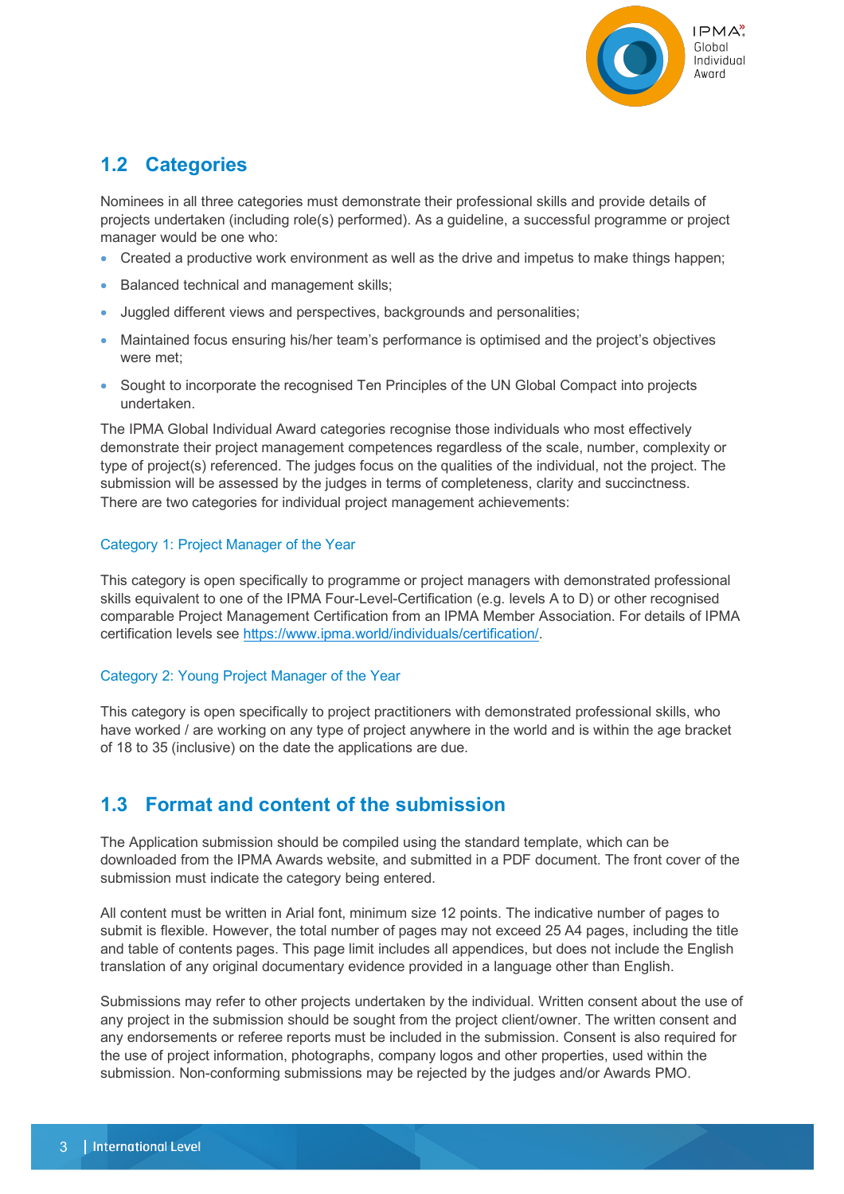

## **1.2 Categories**

Nominees in all three categories must demonstrate their professional skills and provide details of projects undertaken (including role(s) performed). As a guideline, a successful programme or project manager would be one who:

- Created a productive work environment as well as the drive and impetus to make things happen;
- Balanced technical and management skills;
- Juggled different views and perspectives, backgrounds and personalities;
- Maintained focus ensuring his/her team's performance is optimised and the project's objectives were met;
- Sought to incorporate the recognised Ten Principles of the UN Global Compact into projects undertaken.

The IPMA Global Individual Award categories recognise those individuals who most effectively demonstrate their project management competences regardless of the scale, number, complexity or type of project(s) referenced. The judges focus on the qualities of the individual, not the project. The submission will be assessed by the judges in terms of completeness, clarity and succinctness. There are two categories for individual project management achievements:

#### Category 1: Project Manager of the Year

This category is open specifically to programme or project managers with demonstrated professional skills equivalent to one of the IPMA Four-Level-Certification (e.g. levels A to D) or other recognised comparable Project Management Certification from an IPMA Member Association. For details of IPMA certification levels see https://www.ipma.world/individuals/certification/.

#### Category 2: Young Project Manager of the Year

This category is open specifically to project practitioners with demonstrated professional skills, who have worked / are working on any type of project anywhere in the world and is within the age bracket of 18 to 35 (inclusive) on the date the applications are due.

### **1.3 Format and content of the submission**

The Application submission should be compiled using the standard template, which can be downloaded from the IPMA Awards website, and submitted in a PDF document. The front cover of the submission must indicate the category being entered.

All content must be written in Arial font, minimum size 12 points. The indicative number of pages to submit is flexible. However, the total number of pages may not exceed 25 A4 pages, including the title and table of contents pages. This page limit includes all appendices, but does not include the English translation of any original documentary evidence provided in a language other than English.

Submissions may refer to other projects undertaken by the individual. Written consent about the use of any project in the submission should be sought from the project client/owner. The written consent and any endorsements or referee reports must be included in the submission. Consent is also required for the use of project information, photographs, company logos and other properties, used within the submission. Non-conforming submissions may be rejected by the judges and/or Awards PMO.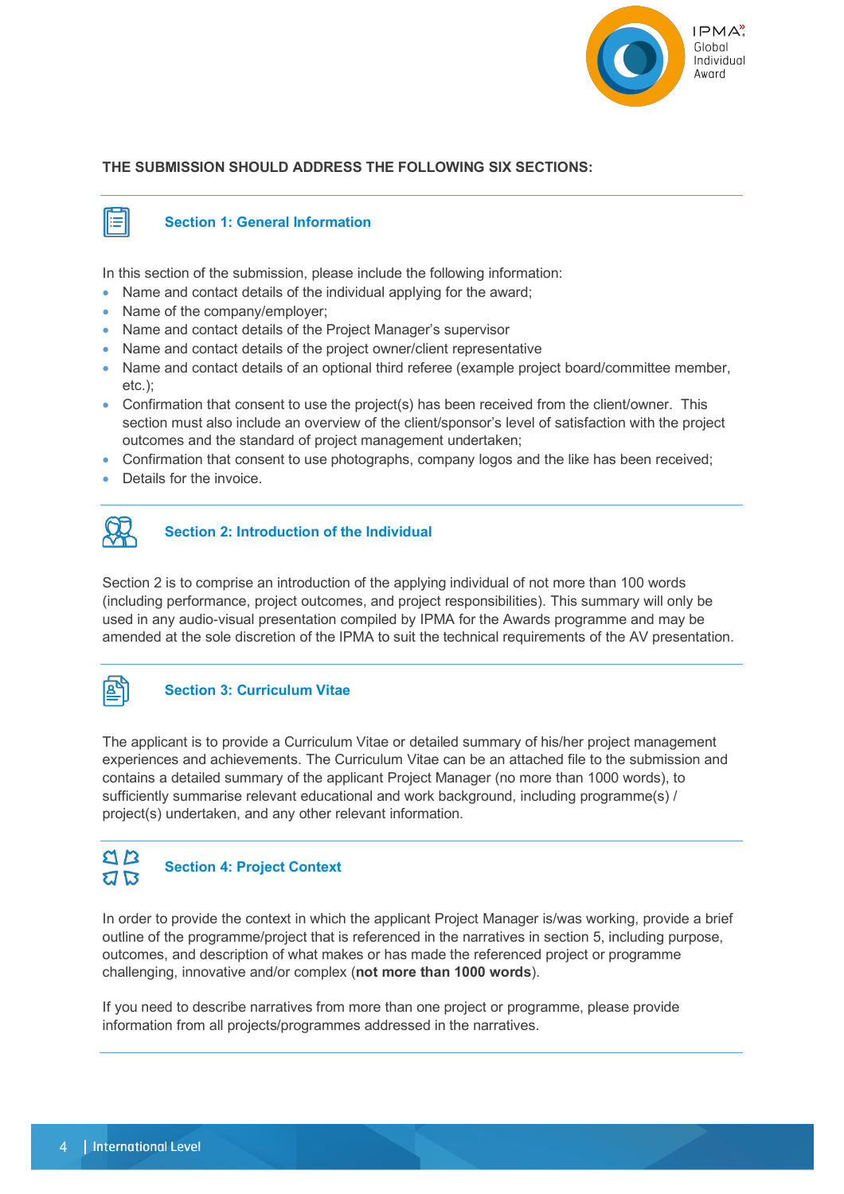

#### **THE SUBMISSION SHOULD ADDRESS THE FOLLOWING SIX SECTIONS:**



#### **Section 1: General Information**

In this section of the submission, please include the following information:

- Name and contact details of the individual applying for the award:
- Name of the company/employer:
- Name and contact details of the Project Manager's supervisor
- Name and contact details of the project owner/client representative
- Name and contact details of an optional third referee (example project board/committee member, etc.);
- Confirmation that consent to use the project(s) has been received from the client/owner. This section must also include an overview of the client/sponsor's level of satisfaction with the project outcomes and the standard of project management undertaken;
- Confirmation that consent to use photographs, company logos and the like has been received;
- Details for the invoice.



#### **Section 2: Introduction of the Individual**

Section 2 is to comprise an introduction of the applying individual of not more than 100 words (including performance, project outcomes, and project responsibilities). This summary will only be used in any audio-visual presentation compiled by IPMA for the Awards programme and may be amended at the sole discretion of the IPMA to suit the technical requirements of the AV presentation.



#### **Section 3: Curriculum Vitae**

The applicant is to provide a Curriculum Vitae or detailed summary of his/her project management experiences and achievements. The Curriculum Vitae can be an attached file to the submission and contains a detailed summary of the applicant Project Manager (no more than 1000 words), to sufficiently summarise relevant educational and work background, including programme(s) / project(s) undertaken, and any other relevant information.



In order to provide the context in which the applicant Project Manager is/was working, provide a brief outline of the programme/project that is referenced in the narratives in section 5, including purpose, outcomes, and description of what makes or has made the referenced project or programme challenging, innovative and/or complex (**not more than 1000 words**).

If you need to describe narratives from more than one project or programme, please provide information from all projects/programmes addressed in the narratives.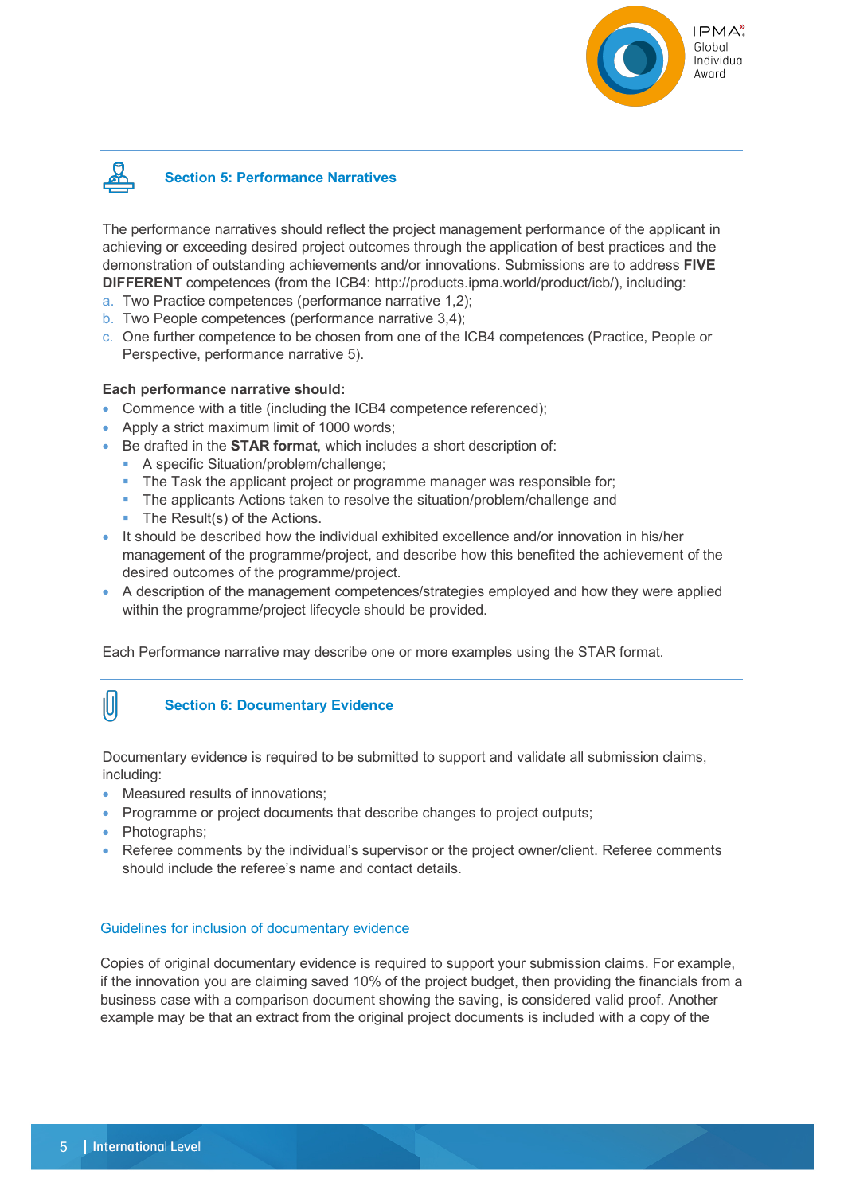



The performance narratives should reflect the project management performance of the applicant in achieving or exceeding desired project outcomes through the application of best practices and the demonstration of outstanding achievements and/or innovations. Submissions are to address **FIVE DIFFERENT** competences (from the ICB4: http://products.ipma.world/product/icb/), including:

- a. Two Practice competences (performance narrative 1,2);
- b. Two People competences (performance narrative 3,4);
- c. One further competence to be chosen from one of the ICB4 competences (Practice, People or Perspective, performance narrative 5).

#### **Each performance narrative should:**

- Commence with a title (including the ICB4 competence referenced);
- Apply a strict maximum limit of 1000 words;
- Be drafted in the **STAR format**, which includes a short description of:
	- A specific Situation/problem/challenge;
	- The Task the applicant project or programme manager was responsible for;
	- The applicants Actions taken to resolve the situation/problem/challenge and
	- The Result(s) of the Actions.
- It should be described how the individual exhibited excellence and/or innovation in his/her management of the programme/project, and describe how this benefited the achievement of the desired outcomes of the programme/project.
- A description of the management competences/strategies employed and how they were applied within the programme/project lifecycle should be provided.

Each Performance narrative may describe one or more examples using the STAR format.



#### **Section 6: Documentary Evidence**

Documentary evidence is required to be submitted to support and validate all submission claims, including:

- Measured results of innovations;
- Programme or project documents that describe changes to project outputs;
- Photographs;
- Referee comments by the individual's supervisor or the project owner/client. Referee comments should include the referee's name and contact details.

#### Guidelines for inclusion of documentary evidence

Copies of original documentary evidence is required to support your submission claims. For example, if the innovation you are claiming saved 10% of the project budget, then providing the financials from a business case with a comparison document showing the saving, is considered valid proof. Another example may be that an extract from the original project documents is included with a copy of the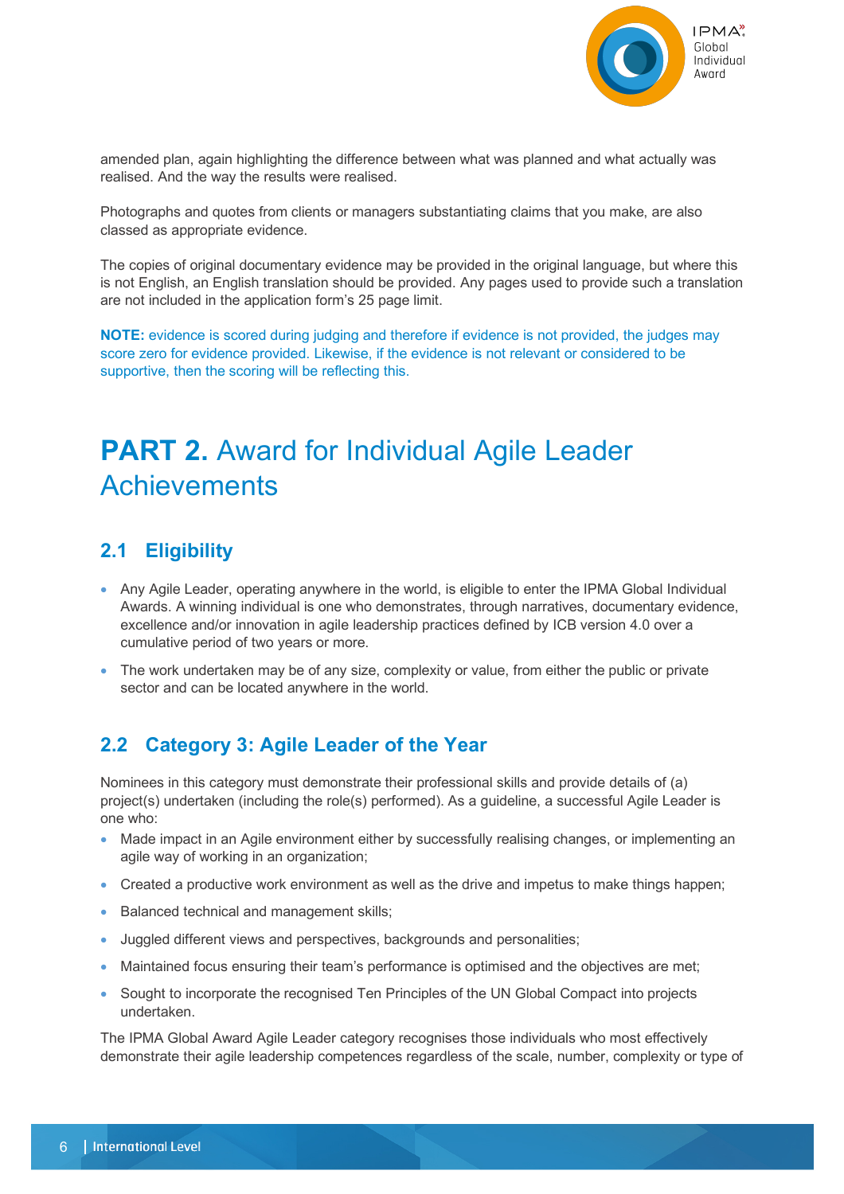

amended plan, again highlighting the difference between what was planned and what actually was realised. And the way the results were realised.

Photographs and quotes from clients or managers substantiating claims that you make, are also classed as appropriate evidence.

The copies of original documentary evidence may be provided in the original language, but where this is not English, an English translation should be provided. Any pages used to provide such a translation are not included in the application form's 25 page limit.

**NOTE:** evidence is scored during judging and therefore if evidence is not provided, the judges may score zero for evidence provided. Likewise, if the evidence is not relevant or considered to be supportive, then the scoring will be reflecting this.

## **PART 2.** Award for Individual Agile Leader **Achievements**

## **2.1 Eligibility**

- Any Agile Leader, operating anywhere in the world, is eligible to enter the IPMA Global Individual Awards. A winning individual is one who demonstrates, through narratives, documentary evidence, excellence and/or innovation in agile leadership practices defined by ICB version 4.0 over a cumulative period of two years or more.
- The work undertaken may be of any size, complexity or value, from either the public or private sector and can be located anywhere in the world.

## **2.2 Category 3: Agile Leader of the Year**

Nominees in this category must demonstrate their professional skills and provide details of (a) project(s) undertaken (including the role(s) performed). As a guideline, a successful Agile Leader is one who:

- Made impact in an Agile environment either by successfully realising changes, or implementing an agile way of working in an organization;
- Created a productive work environment as well as the drive and impetus to make things happen:
- Balanced technical and management skills;
- Juggled different views and perspectives, backgrounds and personalities;
- Maintained focus ensuring their team's performance is optimised and the objectives are met;
- Sought to incorporate the recognised Ten Principles of the UN Global Compact into projects undertaken.

The IPMA Global Award Agile Leader category recognises those individuals who most effectively demonstrate their agile leadership competences regardless of the scale, number, complexity or type of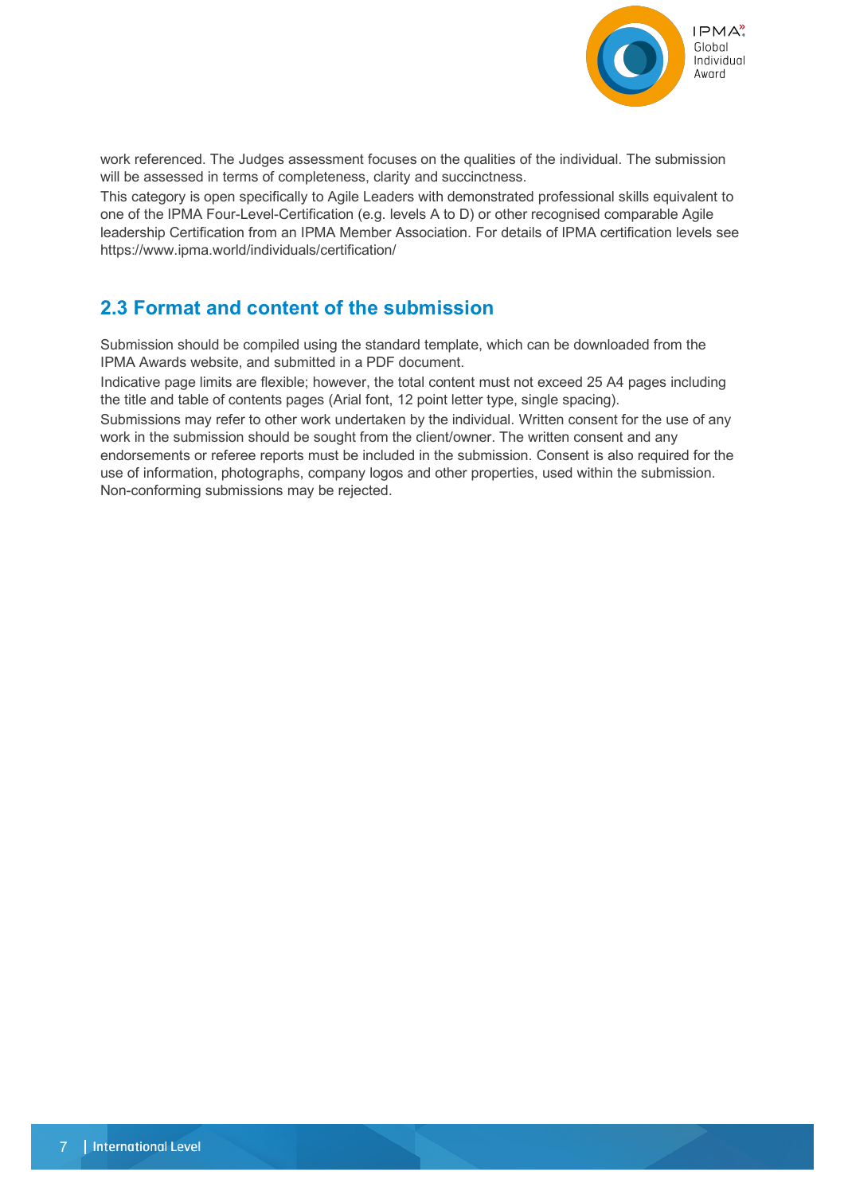

work referenced. The Judges assessment focuses on the qualities of the individual. The submission will be assessed in terms of completeness, clarity and succinctness.

This category is open specifically to Agile Leaders with demonstrated professional skills equivalent to one of the IPMA Four-Level-Certification (e.g. levels A to D) or other recognised comparable Agile leadership Certification from an IPMA Member Association. For details of IPMA certification levels see https://www.ipma.world/individuals/certification/

## **2.3 Format and content of the submission**

Submission should be compiled using the standard template, which can be downloaded from the IPMA Awards website, and submitted in a PDF document.

Indicative page limits are flexible; however, the total content must not exceed 25 A4 pages including the title and table of contents pages (Arial font, 12 point letter type, single spacing).

Submissions may refer to other work undertaken by the individual. Written consent for the use of any work in the submission should be sought from the client/owner. The written consent and any endorsements or referee reports must be included in the submission. Consent is also required for the use of information, photographs, company logos and other properties, used within the submission. Non-conforming submissions may be rejected.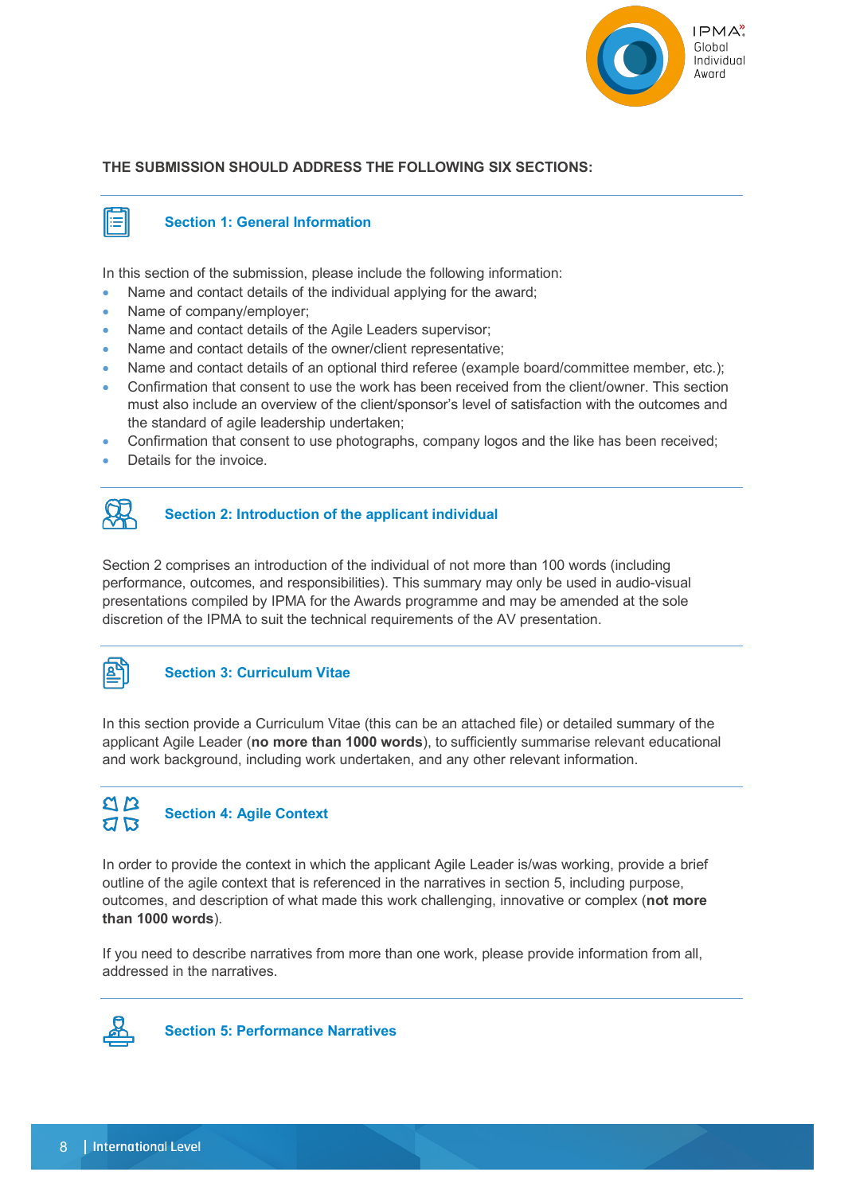

#### **THE SUBMISSION SHOULD ADDRESS THE FOLLOWING SIX SECTIONS:**



#### **Section 1: General Information**

In this section of the submission, please include the following information:

- Name and contact details of the individual applying for the award:
- Name of company/employer:
- Name and contact details of the Agile Leaders supervisor;
- Name and contact details of the owner/client representative;
- Name and contact details of an optional third referee (example board/committee member, etc.);
- Confirmation that consent to use the work has been received from the client/owner. This section must also include an overview of the client/sponsor's level of satisfaction with the outcomes and the standard of agile leadership undertaken;
- Confirmation that consent to use photographs, company logos and the like has been received;
- Details for the invoice.



#### **Section 2: Introduction of the applicant individual**

Section 2 comprises an introduction of the individual of not more than 100 words (including performance, outcomes, and responsibilities). This summary may only be used in audio-visual presentations compiled by IPMA for the Awards programme and may be amended at the sole discretion of the IPMA to suit the technical requirements of the AV presentation.

#### **Section 3: Curriculum Vitae**

In this section provide a Curriculum Vitae (this can be an attached file) or detailed summary of the applicant Agile Leader (**no more than 1000 words**), to sufficiently summarise relevant educational and work background, including work undertaken, and any other relevant information.

#### $\mathbf{\Omega} \mathbf{B}$ **Section 4: Agile Context**  $\mathbf{Z} \mathbf{Z}$

In order to provide the context in which the applicant Agile Leader is/was working, provide a brief outline of the agile context that is referenced in the narratives in section 5, including purpose, outcomes, and description of what made this work challenging, innovative or complex (**not more than 1000 words**).

If you need to describe narratives from more than one work, please provide information from all, addressed in the narratives.



**Section 5: Performance Narratives**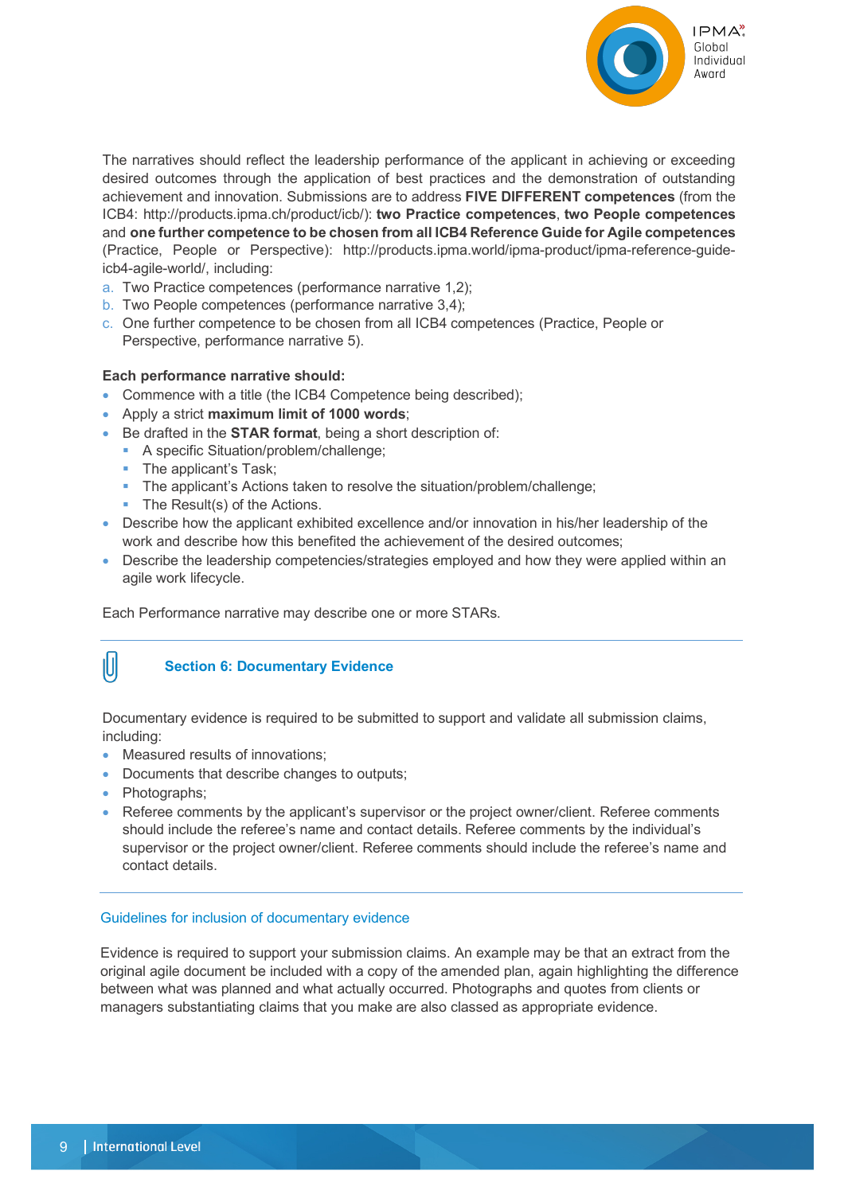

The narratives should reflect the leadership performance of the applicant in achieving or exceeding desired outcomes through the application of best practices and the demonstration of outstanding achievement and innovation. Submissions are to address **FIVE DIFFERENT competences** (from the ICB4: http://products.ipma.ch/product/icb/): **two Practice competences**, **two People competences** and **one further competence to be chosen from all ICB4 Reference Guide for Agile competences** (Practice, People or Perspective): http://products.ipma.world/ipma-product/ipma-reference-guideicb4-agile-world/, including:

- a. Two Practice competences (performance narrative 1,2);
- b. Two People competences (performance narrative 3,4);
- c. One further competence to be chosen from all ICB4 competences (Practice, People or Perspective, performance narrative 5).

#### **Each performance narrative should:**

- Commence with a title (the ICB4 Competence being described);
- Apply a strict **maximum limit of 1000 words**;
- Be drafted in the **STAR format**, being a short description of:
	- A specific Situation/problem/challenge;
	- The applicant's Task;
	- § The applicant's Actions taken to resolve the situation/problem/challenge;
	- The Result(s) of the Actions.
- Describe how the applicant exhibited excellence and/or innovation in his/her leadership of the work and describe how this benefited the achievement of the desired outcomes;
- Describe the leadership competencies/strategies employed and how they were applied within an agile work lifecycle.

Each Performance narrative may describe one or more STARs.

## 10

#### **Section 6: Documentary Evidence**

Documentary evidence is required to be submitted to support and validate all submission claims, including:

- Measured results of innovations;
- Documents that describe changes to outputs;
- Photographs;
- Referee comments by the applicant's supervisor or the project owner/client. Referee comments should include the referee's name and contact details. Referee comments by the individual's supervisor or the project owner/client. Referee comments should include the referee's name and contact details.

#### Guidelines for inclusion of documentary evidence

Evidence is required to support your submission claims. An example may be that an extract from the original agile document be included with a copy of the amended plan, again highlighting the difference between what was planned and what actually occurred. Photographs and quotes from clients or managers substantiating claims that you make are also classed as appropriate evidence.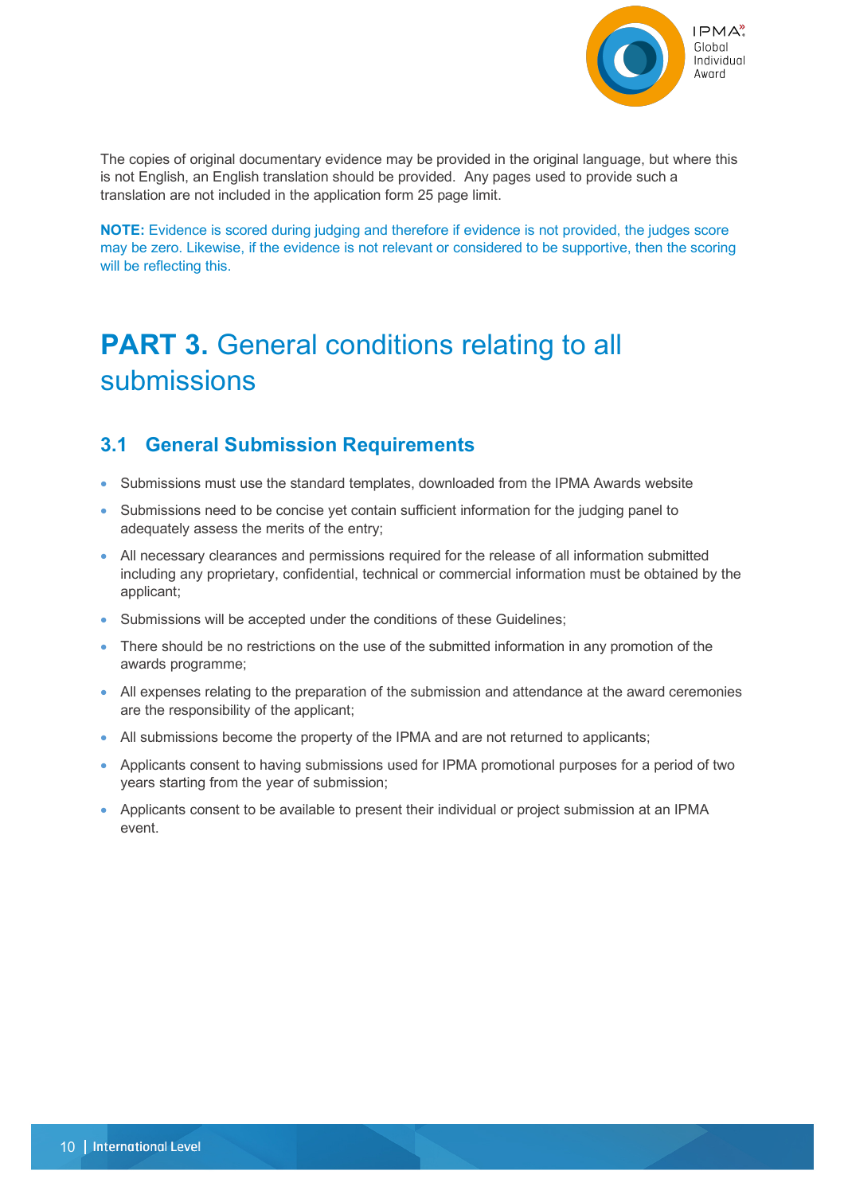

The copies of original documentary evidence may be provided in the original language, but where this is not English, an English translation should be provided. Any pages used to provide such a translation are not included in the application form 25 page limit.

**NOTE:** Evidence is scored during judging and therefore if evidence is not provided, the judges score may be zero. Likewise, if the evidence is not relevant or considered to be supportive, then the scoring will be reflecting this.

## **PART 3.** General conditions relating to all submissions

### **3.1 General Submission Requirements**

- Submissions must use the standard templates, downloaded from the IPMA Awards website
- Submissions need to be concise yet contain sufficient information for the judging panel to adequately assess the merits of the entry;
- All necessary clearances and permissions required for the release of all information submitted including any proprietary, confidential, technical or commercial information must be obtained by the applicant;
- Submissions will be accepted under the conditions of these Guidelines;
- There should be no restrictions on the use of the submitted information in any promotion of the awards programme;
- All expenses relating to the preparation of the submission and attendance at the award ceremonies are the responsibility of the applicant;
- All submissions become the property of the IPMA and are not returned to applicants;
- Applicants consent to having submissions used for IPMA promotional purposes for a period of two years starting from the year of submission;
- Applicants consent to be available to present their individual or project submission at an IPMA event.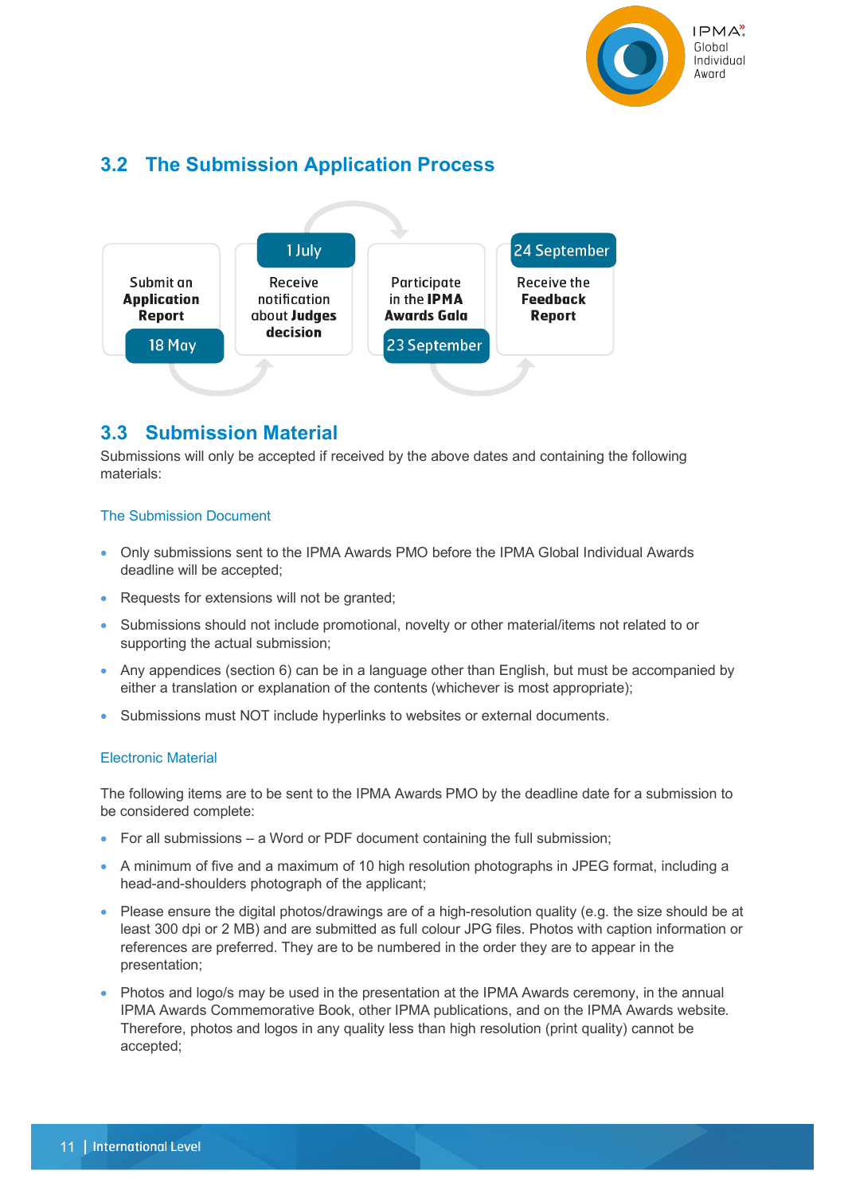

## **3.2 The Submission Application Process**



### **3.3 Submission Material**

Submissions will only be accepted if received by the above dates and containing the following materials:

#### The Submission Document

- Only submissions sent to the IPMA Awards PMO before the IPMA Global Individual Awards deadline will be accepted;
- Requests for extensions will not be granted;
- Submissions should not include promotional, novelty or other material/items not related to or supporting the actual submission;
- Any appendices (section 6) can be in a language other than English, but must be accompanied by either a translation or explanation of the contents (whichever is most appropriate);
- Submissions must NOT include hyperlinks to websites or external documents.

#### Electronic Material

The following items are to be sent to the IPMA Awards PMO by the deadline date for a submission to be considered complete:

- For all submissions a Word or PDF document containing the full submission;
- A minimum of five and a maximum of 10 high resolution photographs in JPEG format, including a head-and-shoulders photograph of the applicant;
- Please ensure the digital photos/drawings are of a high-resolution quality (e.g. the size should be at least 300 dpi or 2 MB) and are submitted as full colour JPG files. Photos with caption information or references are preferred. They are to be numbered in the order they are to appear in the presentation;
- Photos and logo/s may be used in the presentation at the IPMA Awards ceremony, in the annual IPMA Awards Commemorative Book, other IPMA publications, and on the IPMA Awards website. Therefore, photos and logos in any quality less than high resolution (print quality) cannot be accepted;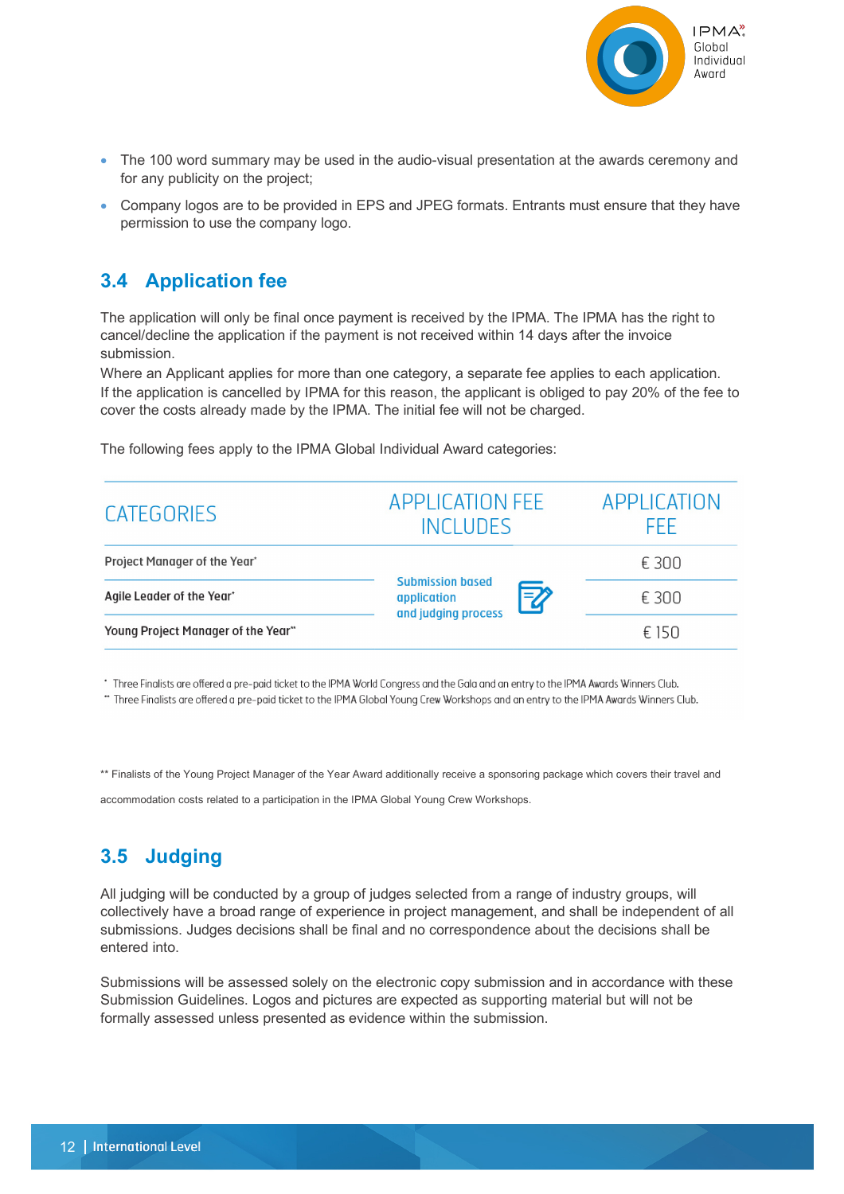

- The 100 word summary may be used in the audio-visual presentation at the awards ceremony and for any publicity on the project;
- Company logos are to be provided in EPS and JPEG formats. Entrants must ensure that they have permission to use the company logo.

## **3.4 Application fee**

The application will only be final once payment is received by the IPMA. The IPMA has the right to cancel/decline the application if the payment is not received within 14 days after the invoice submission.

Where an Applicant applies for more than one category, a separate fee applies to each application. If the application is cancelled by IPMA for this reason, the applicant is obliged to pay 20% of the fee to cover the costs already made by the IPMA. The initial fee will not be charged.

| CATEGORIES                         | <b>APPLICATION FEE</b><br><b>INCLUDES</b>                          | APPLICATION<br>FFF. |
|------------------------------------|--------------------------------------------------------------------|---------------------|
| Project Manager of the Year'       | <b>Submission based</b><br>7<br>application<br>and judging process | € 300               |
| Agile Leader of the Year*          |                                                                    | € 300               |
| Young Project Manager of the Year" |                                                                    | € 150               |

The following fees apply to the IPMA Global Individual Award categories:

\* Three Finalists are offered a pre-paid ticket to the IPMA World Congress and the Gala and an entry to the IPMA Awards Winners Club.

\*\* Three Finalists are offered a pre-paid ticket to the IPMA Global Young Crew Workshops and an entry to the IPMA Awards Winners Club.

\*\* Finalists of the Young Project Manager of the Year Award additionally receive a sponsoring package which covers their travel and

accommodation costs related to a participation in the IPMA Global Young Crew Workshops.

## **3.5 Judging**

All judging will be conducted by a group of judges selected from a range of industry groups, will collectively have a broad range of experience in project management, and shall be independent of all submissions. Judges decisions shall be final and no correspondence about the decisions shall be entered into.

Submissions will be assessed solely on the electronic copy submission and in accordance with these Submission Guidelines. Logos and pictures are expected as supporting material but will not be formally assessed unless presented as evidence within the submission.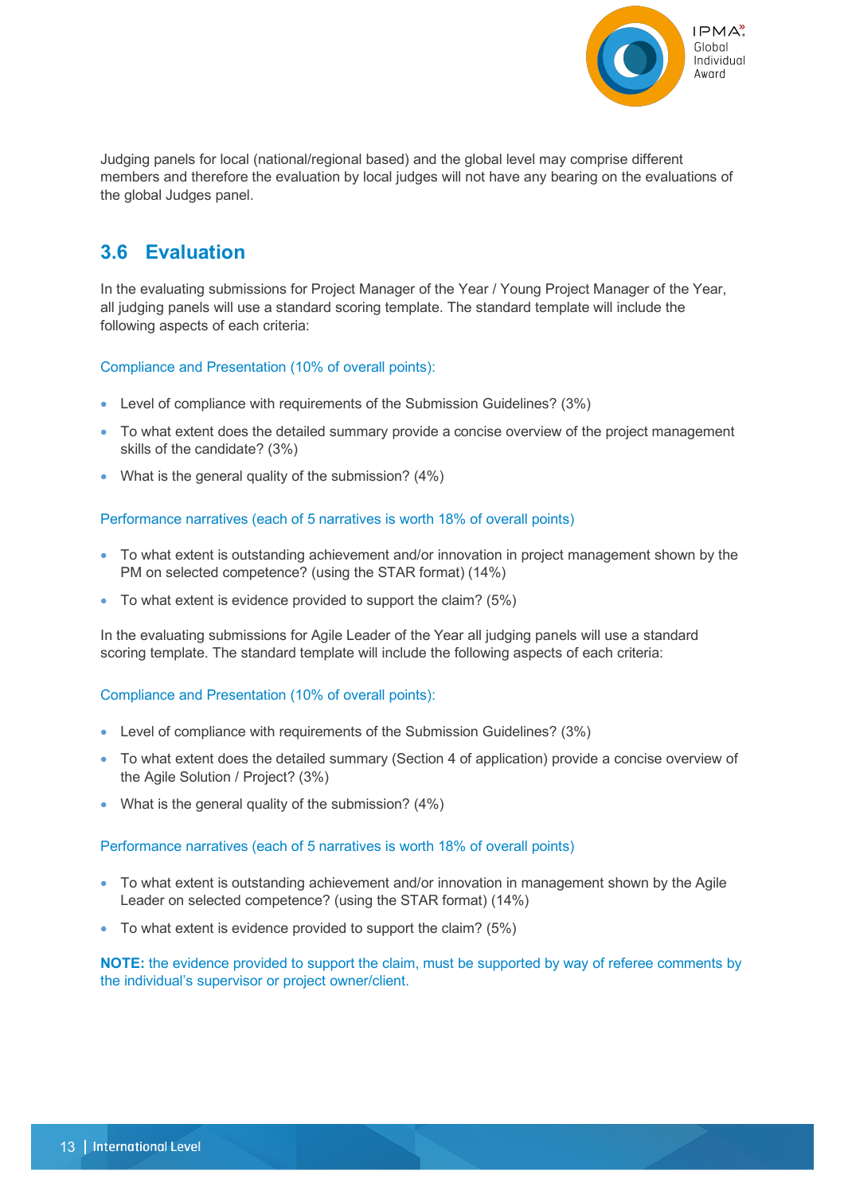

Judging panels for local (national/regional based) and the global level may comprise different members and therefore the evaluation by local judges will not have any bearing on the evaluations of the global Judges panel.

## **3.6 Evaluation**

In the evaluating submissions for Project Manager of the Year / Young Project Manager of the Year, all judging panels will use a standard scoring template. The standard template will include the following aspects of each criteria:

Compliance and Presentation (10% of overall points):

- Level of compliance with requirements of the Submission Guidelines? (3%)
- To what extent does the detailed summary provide a concise overview of the project management skills of the candidate? (3%)
- What is the general quality of the submission? (4%)

#### Performance narratives (each of 5 narratives is worth 18% of overall points)

- To what extent is outstanding achievement and/or innovation in project management shown by the PM on selected competence? (using the STAR format) (14%)
- To what extent is evidence provided to support the claim? (5%)

In the evaluating submissions for Agile Leader of the Year all judging panels will use a standard scoring template. The standard template will include the following aspects of each criteria:

#### Compliance and Presentation (10% of overall points):

- Level of compliance with requirements of the Submission Guidelines? (3%)
- To what extent does the detailed summary (Section 4 of application) provide a concise overview of the Agile Solution / Project? (3%)
- What is the general quality of the submission? (4%)

#### Performance narratives (each of 5 narratives is worth 18% of overall points)

- To what extent is outstanding achievement and/or innovation in management shown by the Agile Leader on selected competence? (using the STAR format) (14%)
- To what extent is evidence provided to support the claim? (5%)

**NOTE:** the evidence provided to support the claim, must be supported by way of referee comments by the individual's supervisor or project owner/client.